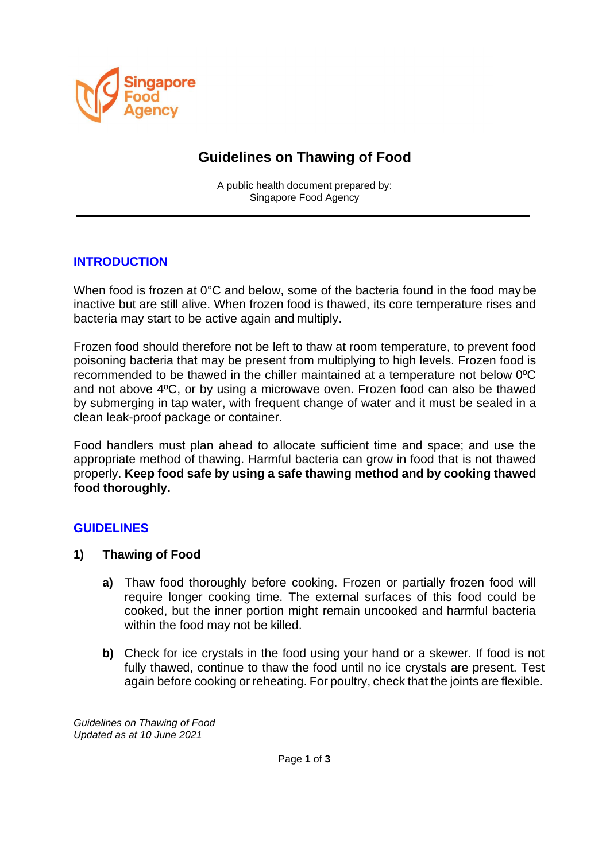

# **Guidelines on Thawing of Food**

A public health document prepared by: Singapore Food Agency

## **INTRODUCTION**

When food is frozen at 0°C and below, some of the bacteria found in the food may be inactive but are still alive. When frozen food is thawed, its core temperature rises and bacteria may start to be active again and multiply.

Frozen food should therefore not be left to thaw at room temperature, to prevent food poisoning bacteria that may be present from multiplying to high levels. Frozen food is recommended to be thawed in the chiller maintained at a temperature not below 0ºC and not above 4ºC, or by using a microwave oven. Frozen food can also be thawed by submerging in tap water, with frequent change of water and it must be sealed in a clean leak-proof package or container.

Food handlers must plan ahead to allocate sufficient time and space; and use the appropriate method of thawing. Harmful bacteria can grow in food that is not thawed properly. **Keep food safe by using a safe thawing method and by cooking thawed food thoroughly.**

### **GUIDELINES**

- **1) Thawing of Food**
	- **a)** Thaw food thoroughly before cooking. Frozen or partially frozen food will require longer cooking time. The external surfaces of this food could be cooked, but the inner portion might remain uncooked and harmful bacteria within the food may not be killed.
	- **b)** Check for ice crystals in the food using your hand or a skewer. If food is not fully thawed, continue to thaw the food until no ice crystals are present. Test again before cooking or reheating. For poultry, check that the joints are flexible.

*Guidelines on Thawing of Food Updated as at 10 June 2021*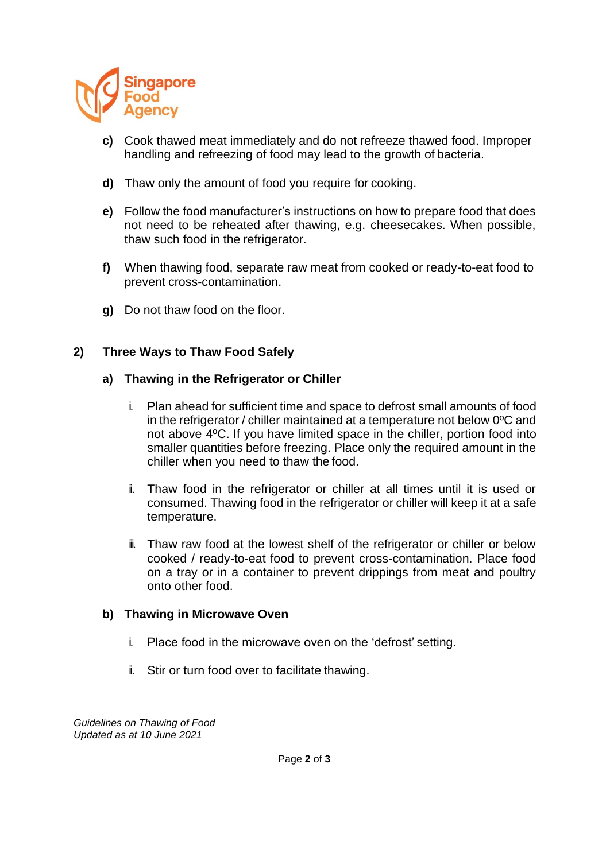

- **c)** Cook thawed meat immediately and do not refreeze thawed food. Improper handling and refreezing of food may lead to the growth of bacteria.
- **d)** Thaw only the amount of food you require for cooking.
- **e)** Follow the food manufacturer's instructions on how to prepare food that does not need to be reheated after thawing, e.g. cheesecakes. When possible, thaw such food in the refrigerator.
- **f)** When thawing food, separate raw meat from cooked or ready-to-eat food to prevent cross-contamination.
- **g)** Do not thaw food on the floor.

### **2) Three Ways to Thaw Food Safely**

#### **a) Thawing in the Refrigerator or Chiller**

- i. Plan ahead for sufficient time and space to defrost small amounts of food in the refrigerator / chiller maintained at a temperature not below 0ºC and not above 4ºC. If you have limited space in the chiller, portion food into smaller quantities before freezing. Place only the required amount in the chiller when you need to thaw the food.
- ii. Thaw food in the refrigerator or chiller at all times until it is used or consumed. Thawing food in the refrigerator or chiller will keep it at a safe temperature.
- $\ddot{=}$  Thaw raw food at the lowest shelf of the refrigerator or chiller or below cooked / ready-to-eat food to prevent cross-contamination. Place food on a tray or in a container to prevent drippings from meat and poultry onto other food.

### **b) Thawing in Microwave Oven**

- i. Place food in the microwave oven on the 'defrost' setting.
- ii. Stir or turn food over to facilitate thawing.

*Guidelines on Thawing of Food Updated as at 10 June 2021*